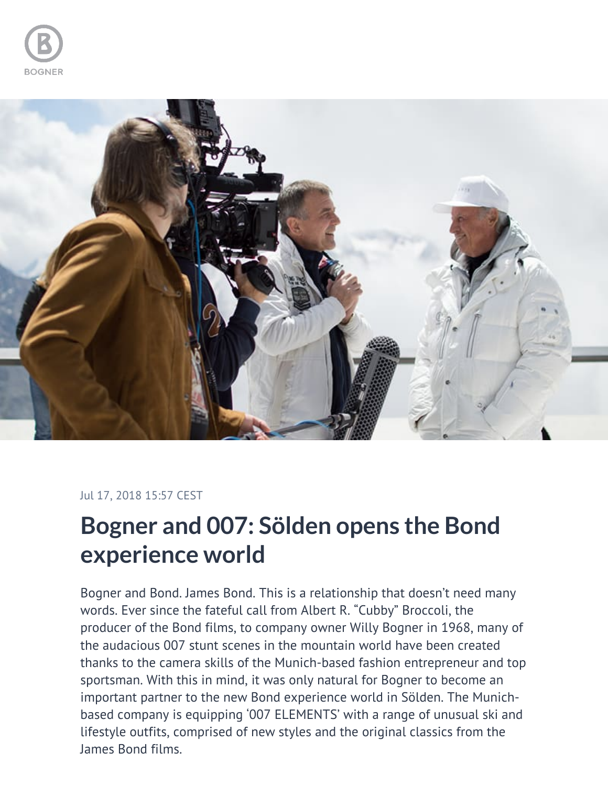



## Jul 17, 2018 15:57 CEST

## **Bogner and 007: Sölden opens the Bond experience world**

Bogner and Bond. James Bond. This is a relationship that doesn't need many words. Ever since the fateful call from Albert R. "Cubby" Broccoli, the producer of the Bond films, to company owner Willy Bogner in 1968, many of the audacious 007 stunt scenes in the mountain world have been created thanks to the camera skills of the Munich-based fashion entrepreneur and top sportsman. With this in mind, it was only natural for Bogner to become an important partner to the new Bond experience world in Sölden. The Munichbased company is equipping '007 ELEMENTS' with a range of unusual ski and lifestyle outfits, comprised of new styles and the original classics from the James Bond films.